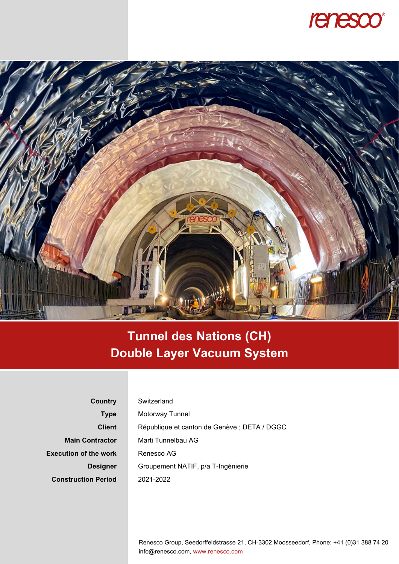



## **Tunnel des Nations (CH) Double Layer Vacuum System**

**Country Type Client Main Contractor Execution of the work Designer Construction Period**  **Switzerland** Motorway Tunnel République et canton de Genève ; DETA / DGGC Marti Tunnelbau AG Renesco AG Groupement NATIF, p/a T-Ingénierie 2021-2022